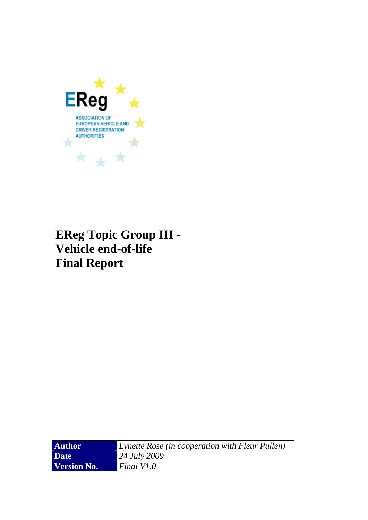

# **EReg Topic Group III - Vehicle end-of-life Final Report**

| <b>Author</b> | Lynette Rose (in cooperation with Fleur Pullen) |
|---------------|-------------------------------------------------|
| <b>Date</b>   | $24 \, July \, 2009$                            |
| Version No.   | Final V1.0                                      |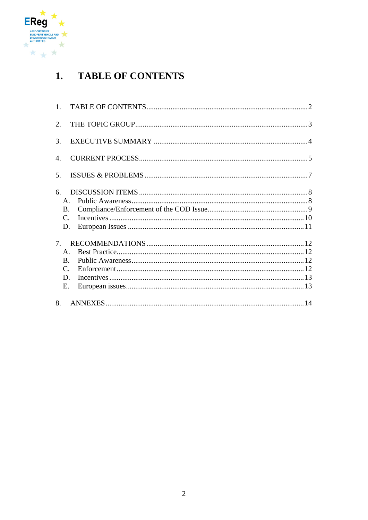<span id="page-1-0"></span>

#### **TABLE OF CONTENTS**  $1.$

| 1.                               |  |
|----------------------------------|--|
| 2.                               |  |
| 3.                               |  |
| 4.                               |  |
| 5.                               |  |
| 6.                               |  |
| $\mathsf{A}$ .                   |  |
| <b>B.</b>                        |  |
| $C_{\cdot}$                      |  |
| D.                               |  |
| $7_{\scriptscriptstyle{\ddots}}$ |  |
| $\mathsf{A}$ .                   |  |
| $\mathbf{B}$                     |  |
| C.                               |  |
| D.                               |  |
| E.                               |  |
| 8.                               |  |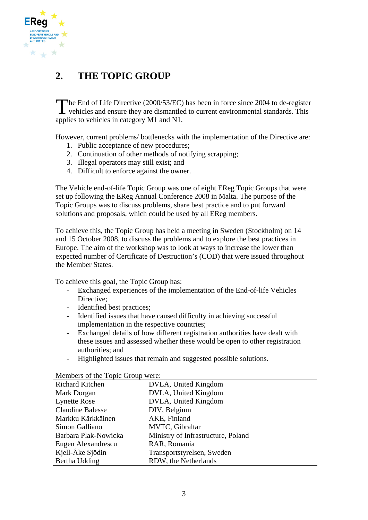<span id="page-2-0"></span>

## **2. THE TOPIC GROUP**

The End of Life Directive (2000/53/EC) has been in force since 2004 to de-register vehicles and ensure they are dismantled to current environmental standards. This  $\blacktriangle$  vehicles and ensure they are dismantled to current environmental standards. This applies to vehicles in category M1 and N1.

However, current problems/ bottlenecks with the implementation of the Directive are:

- 1. Public acceptance of new procedures;
- 2. Continuation of other methods of notifying scrapping;
- 3. Illegal operators may still exist; and
- 4. Difficult to enforce against the owner.

The Vehicle end-of-life Topic Group was one of eight EReg Topic Groups that were set up following the EReg Annual Conference 2008 in Malta. The purpose of the Topic Groups was to discuss problems, share best practice and to put forward solutions and proposals, which could be used by all EReg members.

To achieve this, the Topic Group has held a meeting in Sweden (Stockholm) on 14 and 15 October 2008, to discuss the problems and to explore the best practices in Europe. The aim of the workshop was to look at ways to increase the lower than expected number of Certificate of Destruction's (COD) that were issued throughout the Member States.

To achieve this goal, the Topic Group has:

- Exchanged experiences of the implementation of the End-of-life Vehicles Directive;
- Identified best practices;
- Identified issues that have caused difficulty in achieving successful implementation in the respective countries;
- Exchanged details of how different registration authorities have dealt with these issues and assessed whether these would be open to other registration authorities; and
- Highlighted issues that remain and suggested possible solutions.

| Richard Kitchen         | DVLA, United Kingdom               |  |
|-------------------------|------------------------------------|--|
| Mark Dorgan             | DVLA, United Kingdom               |  |
| <b>Lynette Rose</b>     | DVLA, United Kingdom               |  |
| <b>Claudine Balesse</b> | DIV, Belgium                       |  |
| Markku Kärkkäinen       | AKE, Finland                       |  |
| Simon Galliano          | MVTC, Gibraltar                    |  |
| Barbara Plak-Nowicka    | Ministry of Infrastructure, Poland |  |
| Eugen Alexandrescu      | RAR, Romania                       |  |
| Kjell-Åke Sjödin        | Transportstyrelsen, Sweden         |  |
| Bertha Udding           | RDW, the Netherlands               |  |

Members of the Topic Group were: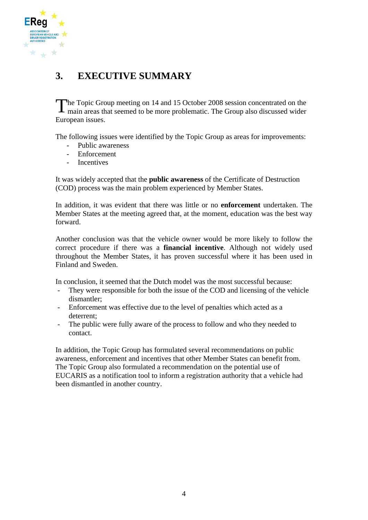<span id="page-3-0"></span>

## **3. EXECUTIVE SUMMARY**

The Topic Group meeting on 14 and 15 October 2008 session concentrated on the main areas that seemed to be more problematic. The Group also discussed wider  $\blacksquare$  main areas that seemed to be more problematic. The Group also discussed wider European issues.

The following issues were identified by the Topic Group as areas for improvements:

- Public awareness
- Enforcement
- Incentives

It was widely accepted that the **public awareness** of the Certificate of Destruction (COD) process was the main problem experienced by Member States.

In addition, it was evident that there was little or no **enforcement** undertaken. The Member States at the meeting agreed that, at the moment, education was the best way forward.

Another conclusion was that the vehicle owner would be more likely to follow the correct procedure if there was a **financial incentive**. Although not widely used throughout the Member States, it has proven successful where it has been used in Finland and Sweden.

In conclusion, it seemed that the Dutch model was the most successful because:

- They were responsible for both the issue of the COD and licensing of the vehicle dismantler;
- Enforcement was effective due to the level of penalties which acted as a deterrent;
- The public were fully aware of the process to follow and who they needed to contact.

In addition, the Topic Group has formulated several recommendations on public awareness, enforcement and incentives that other Member States can benefit from. The Topic Group also formulated a recommendation on the potential use of EUCARIS as a notification tool to inform a registration authority that a vehicle had been dismantled in another country.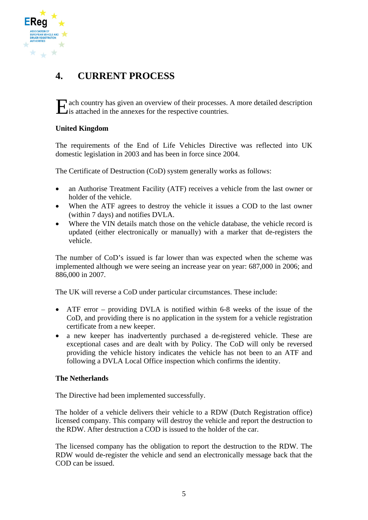<span id="page-4-0"></span>

## **4. CURRENT PROCESS**

**E** ach country has given an overview of their processes. A more detailed description is attached in the annexes for the respective countries.

#### **United Kingdom**

The requirements of the End of Life Vehicles Directive was reflected into UK domestic legislation in 2003 and has been in force since 2004.

The Certificate of Destruction (CoD) system generally works as follows:

- an Authorise Treatment Facility (ATF) receives a vehicle from the last owner or holder of the vehicle.
- When the ATF agrees to destroy the vehicle it issues a COD to the last owner (within 7 days) and notifies DVLA.
- Where the VIN details match those on the vehicle database, the vehicle record is updated (either electronically or manually) with a marker that de-registers the vehicle.

The number of CoD's issued is far lower than was expected when the scheme was implemented although we were seeing an increase year on year: 687,000 in 2006; and 886,000 in 2007.

The UK will reverse a CoD under particular circumstances. These include:

- ATF error providing DVLA is notified within 6-8 weeks of the issue of the CoD, and providing there is no application in the system for a vehicle registration certificate from a new keeper.
- a new keeper has inadvertently purchased a de-registered vehicle. These are exceptional cases and are dealt with by Policy. The CoD will only be reversed providing the vehicle history indicates the vehicle has not been to an ATF and following a DVLA Local Office inspection which confirms the identity.

#### **The Netherlands**

The Directive had been implemented successfully.

The holder of a vehicle delivers their vehicle to a RDW (Dutch Registration office) licensed company. This company will destroy the vehicle and report the destruction to the RDW. After destruction a COD is issued to the holder of the car.

The licensed company has the obligation to report the destruction to the RDW. The RDW would de-register the vehicle and send an electronically message back that the COD can be issued.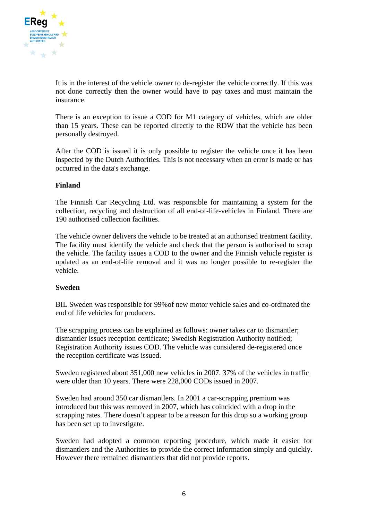

It is in the interest of the vehicle owner to de-register the vehicle correctly. If this was not done correctly then the owner would have to pay taxes and must maintain the insurance.

There is an exception to issue a COD for M1 category of vehicles, which are older than 15 years. These can be reported directly to the RDW that the vehicle has been personally destroyed.

After the COD is issued it is only possible to register the vehicle once it has been inspected by the Dutch Authorities. This is not necessary when an error is made or has occurred in the data's exchange.

#### **Finland**

The Finnish Car Recycling Ltd. was responsible for maintaining a system for the collection, recycling and destruction of all end-of-life-vehicles in Finland. There are 190 authorised collection facilities.

The vehicle owner delivers the vehicle to be treated at an authorised treatment facility. The facility must identify the vehicle and check that the person is authorised to scrap the vehicle. The facility issues a COD to the owner and the Finnish vehicle register is updated as an end-of-life removal and it was no longer possible to re-register the vehicle.

#### **Sweden**

BIL Sweden was responsible for 99%of new motor vehicle sales and co-ordinated the end of life vehicles for producers.

The scrapping process can be explained as follows: owner takes car to dismantler; dismantler issues reception certificate; Swedish Registration Authority notified; Registration Authority issues COD. The vehicle was considered de-registered once the reception certificate was issued.

Sweden registered about 351,000 new vehicles in 2007. 37% of the vehicles in traffic were older than 10 years. There were 228,000 CODs issued in 2007.

Sweden had around 350 car dismantlers. In 2001 a car-scrapping premium was introduced but this was removed in 2007, which has coincided with a drop in the scrapping rates. There doesn't appear to be a reason for this drop so a working group has been set up to investigate.

Sweden had adopted a common reporting procedure, which made it easier for dismantlers and the Authorities to provide the correct information simply and quickly. However there remained dismantlers that did not provide reports.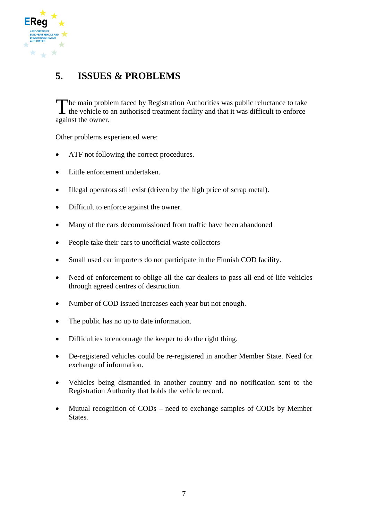<span id="page-6-0"></span>

## **5. ISSUES & PROBLEMS**

The main problem faced by Registration Authorities was public reluctance to take The main problem faced by Registration Authorities was public reluctance to take<br>the vehicle to an authorised treatment facility and that it was difficult to enforce against the owner.

Other problems experienced were:

- ATF not following the correct procedures.
- Little enforcement undertaken.
- Illegal operators still exist (driven by the high price of scrap metal).
- Difficult to enforce against the owner.
- Many of the cars decommissioned from traffic have been abandoned
- People take their cars to unofficial waste collectors
- Small used car importers do not participate in the Finnish COD facility.
- Need of enforcement to oblige all the car dealers to pass all end of life vehicles through agreed centres of destruction.
- Number of COD issued increases each year but not enough.
- The public has no up to date information.
- Difficulties to encourage the keeper to do the right thing.
- De-registered vehicles could be re-registered in another Member State. Need for exchange of information.
- Vehicles being dismantled in another country and no notification sent to the Registration Authority that holds the vehicle record.
- Mutual recognition of CODs need to exchange samples of CODs by Member States.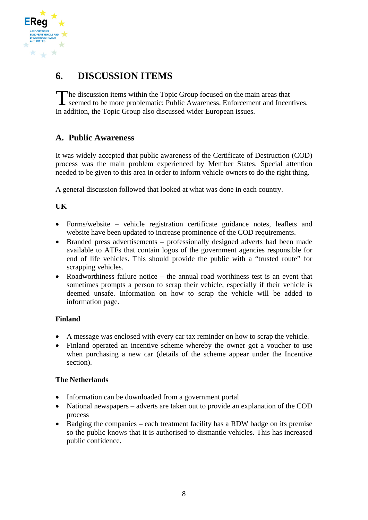<span id="page-7-0"></span>

## **6. DISCUSSION ITEMS**

The discussion items within the Topic Group focused on the main areas that seemed to be more problematic: Public Awareness, Enforcement and Incen seemed to be more problematic: Public Awareness, Enforcement and Incentives. In addition, the Topic Group also discussed wider European issues.

## **A. Public Awareness**

It was widely accepted that public awareness of the Certificate of Destruction (COD) process was the main problem experienced by Member States. Special attention needed to be given to this area in order to inform vehicle owners to do the right thing.

A general discussion followed that looked at what was done in each country.

### **UK**

- Forms/website vehicle registration certificate guidance notes, leaflets and website have been updated to increase prominence of the COD requirements.
- Branded press advertisements professionally designed adverts had been made available to ATFs that contain logos of the government agencies responsible for end of life vehicles. This should provide the public with a "trusted route" for scrapping vehicles.
- Roadworthiness failure notice the annual road worthiness test is an event that sometimes prompts a person to scrap their vehicle, especially if their vehicle is deemed unsafe. Information on how to scrap the vehicle will be added to information page.

### **Finland**

- A message was enclosed with every car tax reminder on how to scrap the vehicle.
- Finland operated an incentive scheme whereby the owner got a voucher to use when purchasing a new car (details of the scheme appear under the Incentive section).

#### **The Netherlands**

- Information can be downloaded from a government portal
- National newspapers adverts are taken out to provide an explanation of the COD process
- Badging the companies each treatment facility has a RDW badge on its premise so the public knows that it is authorised to dismantle vehicles. This has increased public confidence.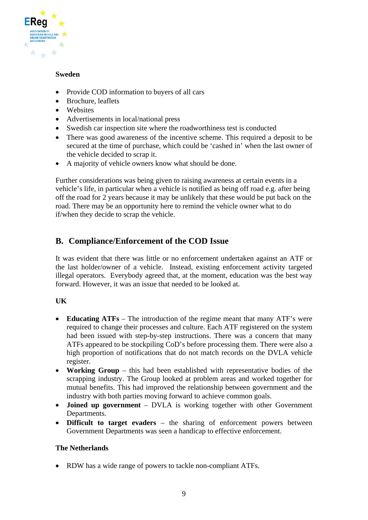<span id="page-8-0"></span>

#### **Sweden**

- Provide COD information to buyers of all cars
- Brochure, leaflets
- Websites
- Advertisements in local/national press
- Swedish car inspection site where the roadworthiness test is conducted
- There was good awareness of the incentive scheme. This required a deposit to be secured at the time of purchase, which could be 'cashed in' when the last owner of the vehicle decided to scrap it.
- A majority of vehicle owners know what should be done.

Further considerations was being given to raising awareness at certain events in a vehicle's life, in particular when a vehicle is notified as being off road e.g. after being off the road for 2 years because it may be unlikely that these would be put back on the road. There may be an opportunity here to remind the vehicle owner what to do if/when they decide to scrap the vehicle.

### **B. Compliance/Enforcement of the COD Issue**

It was evident that there was little or no enforcement undertaken against an ATF or the last holder/owner of a vehicle. Instead, existing enforcement activity targeted illegal operators. Everybody agreed that, at the moment, education was the best way forward. However, it was an issue that needed to be looked at.

### **UK**

- **Educating ATFs** The introduction of the regime meant that many ATF's were required to change their processes and culture. Each ATF registered on the system had been issued with step-by-step instructions. There was a concern that many ATFs appeared to be stockpiling CoD's before processing them. There were also a high proportion of notifications that do not match records on the DVLA vehicle register.
- **Working Group** this had been established with representative bodies of the scrapping industry. The Group looked at problem areas and worked together for mutual benefits. This had improved the relationship between government and the industry with both parties moving forward to achieve common goals.
- **Joined up government** DVLA is working together with other Government Departments.
- **Difficult to target evaders** the sharing of enforcement powers between Government Departments was seen a handicap to effective enforcement.

#### **The Netherlands**

• RDW has a wide range of powers to tackle non-compliant ATFs.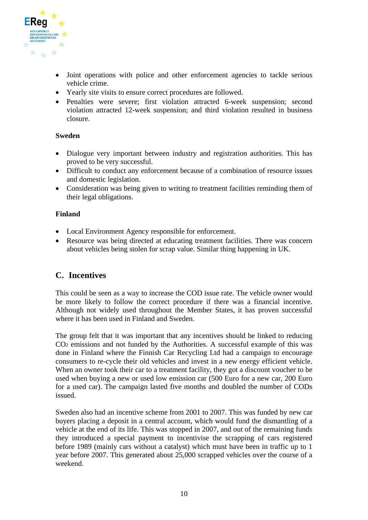<span id="page-9-0"></span>

- Joint operations with police and other enforcement agencies to tackle serious vehicle crime.
- Yearly site visits to ensure correct procedures are followed.
- Penalties were severe; first violation attracted 6-week suspension; second violation attracted 12-week suspension; and third violation resulted in business closure.

#### **Sweden**

- Dialogue very important between industry and registration authorities. This has proved to be very successful.
- Difficult to conduct any enforcement because of a combination of resource issues and domestic legislation.
- Consideration was being given to writing to treatment facilities reminding them of their legal obligations.

#### **Finland**

- Local Environment Agency responsible for enforcement.
- Resource was being directed at educating treatment facilities. There was concern about vehicles being stolen for scrap value. Similar thing happening in UK.

### **C. Incentives**

This could be seen as a way to increase the COD issue rate. The vehicle owner would be more likely to follow the correct procedure if there was a financial incentive. Although not widely used throughout the Member States, it has proven successful where it has been used in Finland and Sweden.

The group felt that it was important that any incentives should be linked to reducing CO2 emissions and not funded by the Authorities. A successful example of this was done in Finland where the Finnish Car Recycling Ltd had a campaign to encourage consumers to re-cycle their old vehicles and invest in a new energy efficient vehicle. When an owner took their car to a treatment facility, they got a discount voucher to be used when buying a new or used low emission car (500 Euro for a new car, 200 Euro for a used car). The campaign lasted five months and doubled the number of CODs issued.

Sweden also had an incentive scheme from 2001 to 2007. This was funded by new car buyers placing a deposit in a central account, which would fund the dismantling of a vehicle at the end of its life. This was stopped in 2007, and out of the remaining funds they introduced a special payment to incentivise the scrapping of cars registered before 1989 (mainly cars without a catalyst) which must have been in traffic up to 1 year before 2007. This generated about 25,000 scrapped vehicles over the course of a weekend.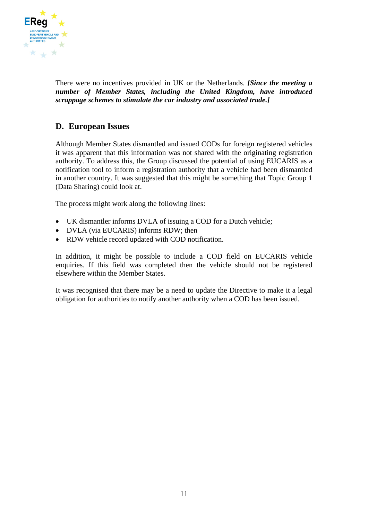<span id="page-10-0"></span>

There were no incentives provided in UK or the Netherlands. *[Since the meeting a number of Member States, including the United Kingdom, have introduced scrappage schemes to stimulate the car industry and associated trade.]* 

### **D. European Issues**

Although Member States dismantled and issued CODs for foreign registered vehicles it was apparent that this information was not shared with the originating registration authority. To address this, the Group discussed the potential of using EUCARIS as a notification tool to inform a registration authority that a vehicle had been dismantled in another country. It was suggested that this might be something that Topic Group 1 (Data Sharing) could look at.

The process might work along the following lines:

- UK dismantler informs DVLA of issuing a COD for a Dutch vehicle;
- DVLA (via EUCARIS) informs RDW; then
- RDW vehicle record updated with COD notification.

In addition, it might be possible to include a COD field on EUCARIS vehicle enquiries. If this field was completed then the vehicle should not be registered elsewhere within the Member States.

It was recognised that there may be a need to update the Directive to make it a legal obligation for authorities to notify another authority when a COD has been issued.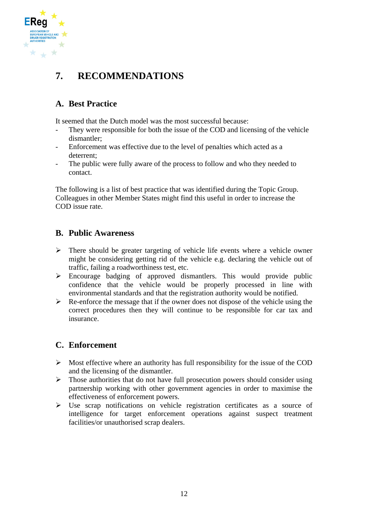<span id="page-11-0"></span>

## **7. RECOMMENDATIONS**

## **A. Best Practice**

It seemed that the Dutch model was the most successful because:

- They were responsible for both the issue of the COD and licensing of the vehicle dismantler;
- Enforcement was effective due to the level of penalties which acted as a deterrent;
- The public were fully aware of the process to follow and who they needed to contact.

The following is a list of best practice that was identified during the Topic Group. Colleagues in other Member States might find this useful in order to increase the COD issue rate.

### **B. Public Awareness**

- $\triangleright$  There should be greater targeting of vehicle life events where a vehicle owner might be considering getting rid of the vehicle e.g. declaring the vehicle out of traffic, failing a roadworthiness test, etc.
- $\triangleright$  Encourage badging of approved dismantlers. This would provide public confidence that the vehicle would be properly processed in line with environmental standards and that the registration authority would be notified.
- $\triangleright$  Re-enforce the message that if the owner does not dispose of the vehicle using the correct procedures then they will continue to be responsible for car tax and insurance.

### **C. Enforcement**

- $\triangleright$  Most effective where an authority has full responsibility for the issue of the COD and the licensing of the dismantler.
- $\triangleright$  Those authorities that do not have full prosecution powers should consider using partnership working with other government agencies in order to maximise the effectiveness of enforcement powers.
- $\triangleright$  Use scrap notifications on vehicle registration certificates as a source of intelligence for target enforcement operations against suspect treatment facilities/or unauthorised scrap dealers.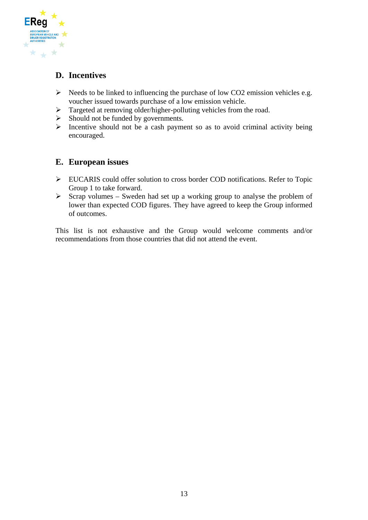<span id="page-12-0"></span>

## **D. Incentives**

- $\triangleright$  Needs to be linked to influencing the purchase of low CO2 emission vehicles e.g. voucher issued towards purchase of a low emission vehicle.
- $\triangleright$  Targeted at removing older/higher-polluting vehicles from the road.
- $\triangleright$  Should not be funded by governments.
- $\triangleright$  Incentive should not be a cash payment so as to avoid criminal activity being encouraged.

### **E. European issues**

- ¾ EUCARIS could offer solution to cross border COD notifications. Refer to Topic Group 1 to take forward.
- $\triangleright$  Scrap volumes Sweden had set up a working group to analyse the problem of lower than expected COD figures. They have agreed to keep the Group informed of outcomes.

This list is not exhaustive and the Group would welcome comments and/or recommendations from those countries that did not attend the event.